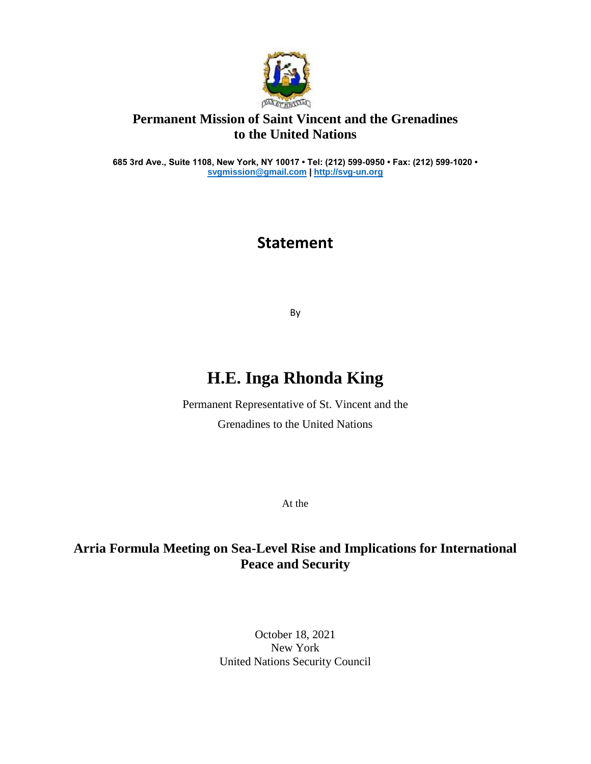

## **Permanent Mission of Saint Vincent and the Grenadines to the United Nations**

**685 3rd Ave., Suite 1108, New York, NY 10017 • Tel: (212) 599-0950 • Fax: (212) 599-1020 • [svgmission@gmail.com](mailto:svgmission@gmail.com) [| http://svg-un.org](http://svg-un.org/)**

## **Statement**

By

## **H.E. Inga Rhonda King**

Permanent Representative of St. Vincent and the Grenadines to the United Nations

At the

## **Arria Formula Meeting on Sea-Level Rise and Implications for International Peace and Security**

October 18, 2021 New York United Nations Security Council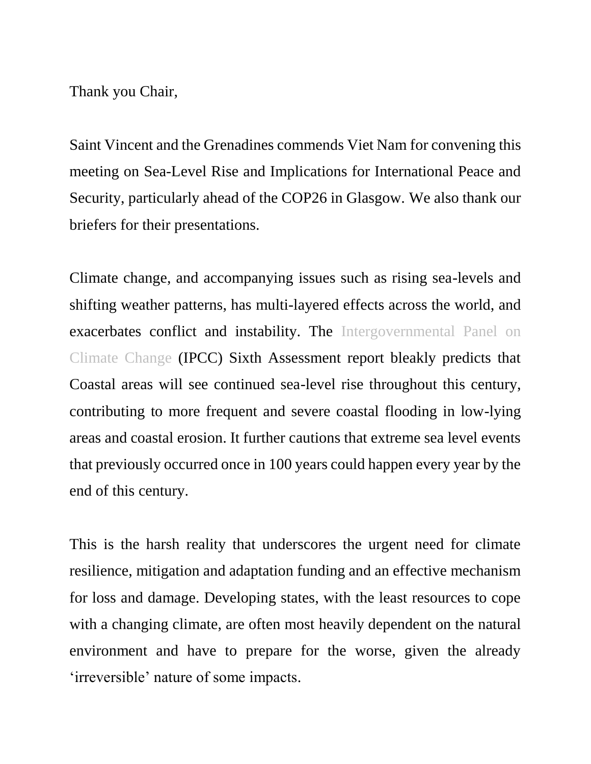Thank you Chair,

Saint Vincent and the Grenadines commends Viet Nam for convening this meeting on Sea-Level Rise and Implications for International Peace and Security, particularly ahead of the COP26 in Glasgow. We also thank our briefers for their presentations.

Climate change, and accompanying issues such as rising sea-levels and shifting weather patterns, has multi-layered effects across the world, and exacerbates conflict and instability. The Intergovernmental Panel on Climate Change (IPCC) Sixth Assessment report bleakly predicts that Coastal areas will see continued sea-level rise throughout this century, contributing to more frequent and severe coastal flooding in low-lying areas and coastal erosion. It further cautions that extreme sea level events that previously occurred once in 100 years could happen every year by the end of this century.

This is the harsh reality that underscores the urgent need for climate resilience, mitigation and adaptation funding and an effective mechanism for loss and damage. Developing states, with the least resources to cope with a changing climate, are often most heavily dependent on the natural environment and have to prepare for the worse, given the already 'irreversible' nature of some impacts.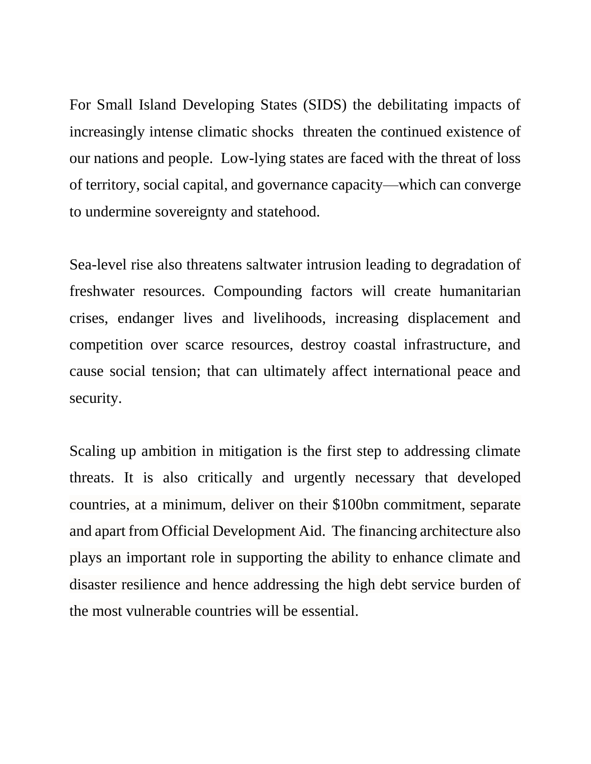For Small Island Developing States (SIDS) the debilitating impacts of increasingly intense climatic shocks threaten the continued existence of our nations and people. Low-lying states are faced with the threat of loss of territory, social capital, and governance capacity—which can converge to undermine sovereignty and statehood.

Sea-level rise also threatens saltwater intrusion leading to degradation of freshwater resources. Compounding factors will create humanitarian crises, endanger lives and livelihoods, increasing displacement and competition over scarce resources, destroy coastal infrastructure, and cause social tension; that can ultimately affect international peace and security.

Scaling up ambition in mitigation is the first step to addressing climate threats. It is also critically and urgently necessary that developed countries, at a minimum, deliver on their \$100bn commitment, separate and apart from Official Development Aid. The financing architecture also plays an important role in supporting the ability to enhance climate and disaster resilience and hence addressing the high debt service burden of the most vulnerable countries will be essential.